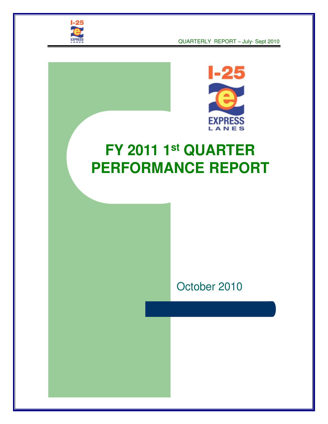

QUARTERLY REPORT – July- Sept 2010



# **FY 2011 1st QUARTER PERFORMANCE REPORT**

# October 2010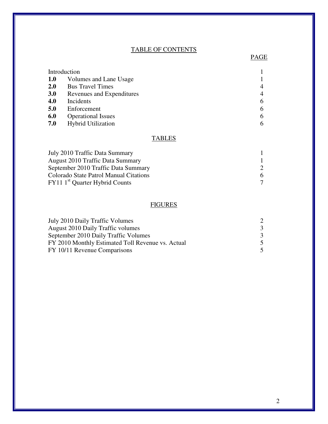#### TABLE OF CONTENTS

PAGE PAGE

| Introduction |                           |                |
|--------------|---------------------------|----------------|
| <b>1.0</b>   | Volumes and Lane Usage    |                |
| 2.0          | <b>Bus Travel Times</b>   | $\overline{4}$ |
| <b>3.0</b>   | Revenues and Expenditures | $\overline{4}$ |
| 4.0          | Incidents                 | 6              |
| 5.0          | Enforcement               | 6              |
| 6.0          | <b>Operational Issues</b> | 6              |
| 7.0          | <b>Hybrid Utilization</b> | 6              |

#### **TABLES**

| July 2010 Traffic Data Summary             |   |
|--------------------------------------------|---|
| <b>August 2010 Traffic Data Summary</b>    |   |
| September 2010 Traffic Data Summary        |   |
| Colorado State Patrol Manual Citations     | 6 |
| FY11 1 <sup>st</sup> Quarter Hybrid Counts |   |

### **FIGURES**

| July 2010 Daily Traffic Volumes                   |               |
|---------------------------------------------------|---------------|
| <b>August 2010 Daily Traffic volumes</b>          |               |
| September 2010 Daily Traffic Volumes              | $\mathcal{R}$ |
| FY 2010 Monthly Estimated Toll Revenue vs. Actual |               |
| FY 10/11 Revenue Comparisons                      |               |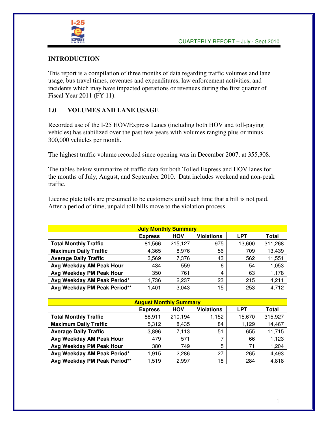

#### **INTRODUCTION**

This report is a compilation of three months of data regarding traffic volumes and lane usage, bus travel times, revenues and expenditures, law enforcement activities, and incidents which may have impacted operations or revenues during the first quarter of Fiscal Year 2011 (FY 11).

#### **1.0 VOLUMES AND LANE USAGE**

Recorded use of the I-25 HOV/Express Lanes (including both HOV and toll-paying vehicles) has stabilized over the past few years with volumes ranging plus or minus 300,000 vehicles per month.

The highest traffic volume recorded since opening was in December 2007, at 355,308.

The tables below summarize of traffic data for both Tolled Express and HOV lanes for the months of July, August, and September 2010. Data includes weekend and non-peak traffic.

License plate tolls are presumed to be customers until such time that a bill is not paid. After a period of time, unpaid toll bills move to the violation process.

| <b>July Monthly Summary</b>                                              |        |         |     |        |         |  |  |  |  |
|--------------------------------------------------------------------------|--------|---------|-----|--------|---------|--|--|--|--|
| <b>Violations</b><br><b>LPT</b><br><b>HOV</b><br>Total<br><b>Express</b> |        |         |     |        |         |  |  |  |  |
| <b>Total Monthly Traffic</b>                                             | 81,566 | 215,127 | 975 | 13,600 | 311,268 |  |  |  |  |
| <b>Maximum Daily Traffic</b>                                             | 4,365  | 8,976   | 56  | 709    | 13,439  |  |  |  |  |
| <b>Average Daily Traffic</b>                                             | 3,569  | 7,376   | 43  | 562    | 11,551  |  |  |  |  |
| Avg Weekday AM Peak Hour                                                 | 434    | 559     | 6   | 54     | 1,053   |  |  |  |  |
| Avg Weekday PM Peak Hour                                                 | 350    | 761     | 4   | 63     | 1,178   |  |  |  |  |
| Avg Weekday AM Peak Period*                                              | 1,736  | 2,237   | 23  | 215    | 4,211   |  |  |  |  |
| Avg Weekday PM Peak Period**                                             | 1,401  | 3,043   | 15  | 253    | 4,712   |  |  |  |  |

| <b>August Monthly Summary</b>                                            |        |         |       |        |         |  |  |  |  |
|--------------------------------------------------------------------------|--------|---------|-------|--------|---------|--|--|--|--|
| <b>LPT</b><br><b>Violations</b><br><b>HOV</b><br>Total<br><b>Express</b> |        |         |       |        |         |  |  |  |  |
| <b>Total Monthly Traffic</b>                                             | 88,911 | 210,194 | 1,152 | 15,670 | 315,927 |  |  |  |  |
| <b>Maximum Daily Traffic</b>                                             | 5,312  | 8,435   | 84    | 1,129  | 14,467  |  |  |  |  |
| <b>Average Daily Traffic</b>                                             | 3,896  | 7,113   | 51    | 655    | 11,715  |  |  |  |  |
| Avg Weekday AM Peak Hour                                                 | 479    | 571     |       | 66     | 1,123   |  |  |  |  |
| Avg Weekday PM Peak Hour                                                 | 380    | 749     | 5     | 71     | 1,204   |  |  |  |  |
| Avg Weekday AM Peak Period*                                              | 1,915  | 2,286   | 27    | 265    | 4,493   |  |  |  |  |
| Avg Weekday PM Peak Period**                                             | 1,519  | 2,997   | 18    | 284    | 4,818   |  |  |  |  |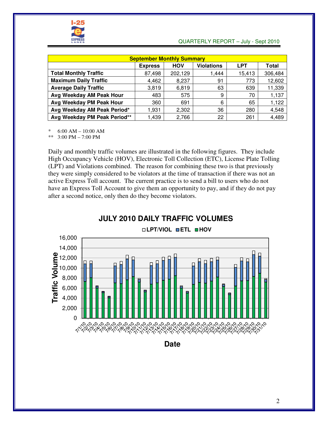

#### QUARTERLY REPORT – July - Sept 2010

| <b>September Monthly Summary</b>                                                |        |         |       |        |         |  |  |  |  |  |
|---------------------------------------------------------------------------------|--------|---------|-------|--------|---------|--|--|--|--|--|
| <b>Violations</b><br><b>HOV</b><br><b>LPT</b><br><b>Total</b><br><b>Express</b> |        |         |       |        |         |  |  |  |  |  |
| <b>Total Monthly Traffic</b>                                                    | 87,498 | 202,129 | 1,444 | 15,413 | 306,484 |  |  |  |  |  |
| <b>Maximum Daily Traffic</b>                                                    | 4,462  | 8,237   | 91    | 773    | 12,602  |  |  |  |  |  |
| <b>Average Daily Traffic</b>                                                    | 3.819  | 6,819   | 63    | 639    | 11,339  |  |  |  |  |  |
| Avg Weekday AM Peak Hour                                                        | 483    | 575     | 9     | 70     | 1,137   |  |  |  |  |  |
| Avg Weekday PM Peak Hour                                                        | 360    | 691     | 6     | 65     | 1,122   |  |  |  |  |  |
| Avg Weekday AM Peak Period*                                                     | 1.931  | 2,302   | 36    | 280    | 4,548   |  |  |  |  |  |
| Avg Weekday PM Peak Period**                                                    | .439   | 2,766   | 22    | 261    | 4,489   |  |  |  |  |  |

 $6:00$  AM  $- 10:00$  AM

\*\* 3:00 PM – 7:00 PM

Daily and monthly traffic volumes are illustrated in the following figures. They include High Occupancy Vehicle (HOV), Electronic Toll Collection (ETC), License Plate Tolling (LPT) and Violations combined. The reason for combining these two is that previously they were simply considered to be violators at the time of transaction if there was not an active Express Toll account. The current practice is to send a bill to users who do not have an Express Toll Account to give them an opportunity to pay, and if they do not pay after a second notice, only then do they become violators.



**JULY 2010 DAILY TRAFFIC VOLUMES**

**Date**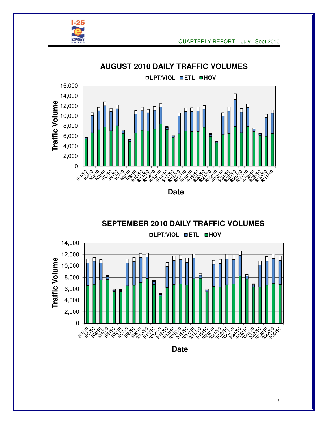



**AUGUST 2010 DAILY TRAFFIC VOLUMES**

**Date**



**Date**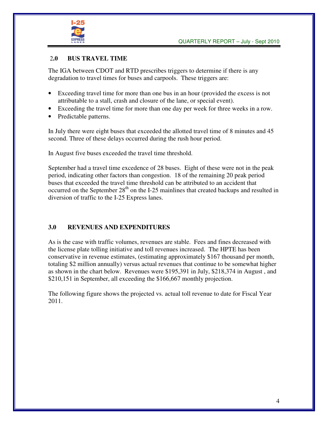

#### 2**.0 BUS TRAVEL TIME**

The IGA between CDOT and RTD prescribes triggers to determine if there is any degradation to travel times for buses and carpools. These triggers are:

- Exceeding travel time for more than one bus in an hour (provided the excess is not attributable to a stall, crash and closure of the lane, or special event).
- Exceeding the travel time for more than one day per week for three weeks in a row.
- Predictable patterns.

In July there were eight buses that exceeded the allotted travel time of 8 minutes and 45 second. Three of these delays occurred during the rush hour period.

In August five buses exceeded the travel time threshold.

September had a travel time excedence of 28 buses. Eight of these were not in the peak period, indicating other factors than congestion. 18 of the remaining 20 peak period buses that exceeded the travel time threshold can be attributed to an accident that occurred on the September  $28<sup>th</sup>$  on the I-25 mainlines that created backups and resulted in diversion of traffic to the I-25 Express lanes.

#### **3.0 REVENUES AND EXPENDITURES**

As is the case with traffic volumes, revenues are stable. Fees and fines decreased with the license plate tolling initiative and toll revenues increased. The HPTE has been conservative in revenue estimates, (estimating approximately \$167 thousand per month, totaling \$2 million annually) versus actual revenues that continue to be somewhat higher as shown in the chart below. Revenues were \$195,391 in July, \$218,374 in August , and \$210,151 in September, all exceeding the \$166,667 monthly projection.

The following figure shows the projected vs. actual toll revenue to date for Fiscal Year 2011.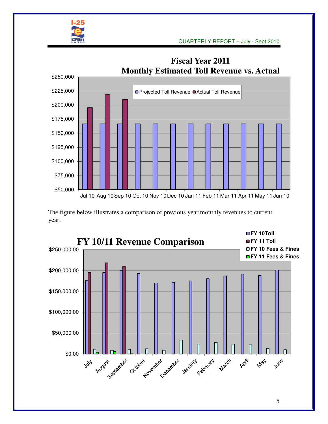



The figure below illustrates a comparison of previous year monthly revenues to current year.



5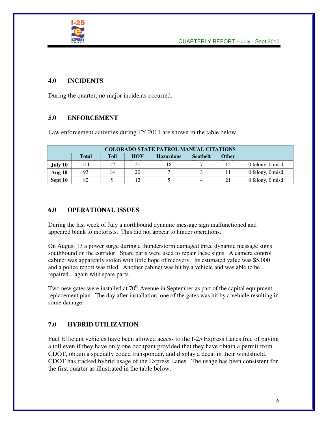

#### **4.0 INCIDENTS**

During the quarter, no major incidents occurred.

#### **5.0 ENFORCEMENT**

Law enforcement activities during FY 2011 are shown in the table below.

|         | <b>COLORADO STATE PATROL MANUAL CITATIONS</b>                                                    |    |    |  |   |    |                       |  |  |  |  |
|---------|--------------------------------------------------------------------------------------------------|----|----|--|---|----|-----------------------|--|--|--|--|
|         | <b>HOV</b><br><b>Other</b><br><b>Toll</b><br><b>Seathelt</b><br><b>Total</b><br><b>Hazardous</b> |    |    |  |   |    |                       |  |  |  |  |
| July 10 | 111                                                                                              | 12 | 21 |  |   | 15 | 0 felony, 0 misd.     |  |  |  |  |
| Aug 10  | 93                                                                                               | 14 | 20 |  |   |    | 0 felony, 0 misd.     |  |  |  |  |
| Sept 10 | 82                                                                                               |    | 12 |  | 4 |    | $0$ felony, $0$ misd. |  |  |  |  |

#### **6.0 OPERATIONAL ISSUES**

During the last week of July a northbound dynamic message sign malfunctioned and appeared blank to motorists. This did not appear to hinder operations.

On August 13 a power surge during a thunderstorm damaged three dynamic message signs southbound on the corridor. Spare parts were used to repair these signs. A camera control cabinet was apparently stolen with little hope of recovery. Its estimated value was \$5,000 and a police report was filed. Another cabinet was hit by a vehicle and was able to be repaired…again with spare parts.

Two new gates were installed at  $70<sup>th</sup>$  Avenue in September as part of the capital equipment replacement plan. The day after installation, one of the gates was hit by a vehicle resulting in some damage.

#### **7.0 HYBRID UTILIZATION**

Fuel Efficient vehicles have been allowed access to the I-25 Express Lanes free of paying a toll even if they have only one occupant provided that they have obtain a permit from CDOT, obtain a specially coded transponder, and display a decal in their windshield. CDOT has tracked hybrid usage of the Express Lanes. The usage has been consistent for the first quarter as illustrated in the table below.